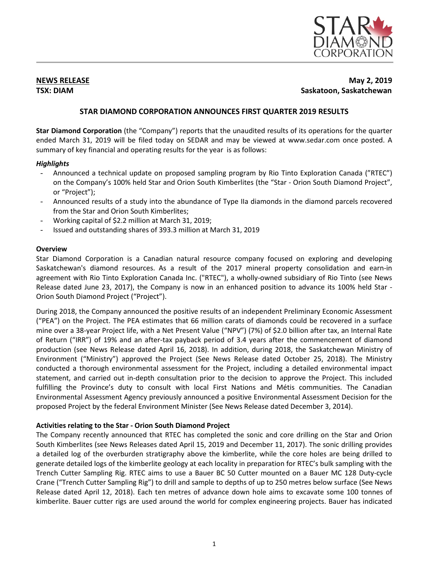

# **NEWS RELEASE May 2, 2019 TSX: DIAM Saskatoon, Saskatchewan**

# **STAR DIAMOND CORPORATION ANNOUNCES FIRST QUARTER 2019 RESULTS**

**Star Diamond Corporation** (the "Company") reports that the unaudited results of its operations for the quarter ended March 31, 2019 will be filed today on SEDAR and may be viewed at www.sedar.com once posted. A summary of key financial and operating results for the year is as follows:

# *Highlights*

- Announced a technical update on proposed sampling program by Rio Tinto Exploration Canada ("RTEC") on the Company's 100% held Star and Orion South Kimberlites (the "Star - Orion South Diamond Project", or "Project");
- Announced results of a study into the abundance of Type IIa diamonds in the diamond parcels recovered from the Star and Orion South Kimberlites;
- Working capital of \$2.2 million at March 31, 2019;
- Issued and outstanding shares of 393.3 million at March 31, 2019

## **Overview**

Star Diamond Corporation is a Canadian natural resource company focused on exploring and developing Saskatchewan's diamond resources. As a result of the 2017 mineral property consolidation and earn-in agreement with Rio Tinto Exploration Canada Inc. ("RTEC"), a wholly-owned subsidiary of Rio Tinto (see News Release dated June 23, 2017), the Company is now in an enhanced position to advance its 100% held Star - Orion South Diamond Project ("Project").

During 2018, the Company announced the positive results of an independent Preliminary Economic Assessment ("PEA") on the Project. The PEA estimates that 66 million carats of diamonds could be recovered in a surface mine over a 38-year Project life, with a Net Present Value ("NPV") (7%) of \$2.0 billion after tax, an Internal Rate of Return ("IRR") of 19% and an after-tax payback period of 3.4 years after the commencement of diamond production (see News Release dated April 16, 2018). In addition, during 2018, the Saskatchewan Ministry of Environment ("Ministry") approved the Project (See News Release dated October 25, 2018). The Ministry conducted a thorough environmental assessment for the Project, including a detailed environmental impact statement, and carried out in-depth consultation prior to the decision to approve the Project. This included fulfilling the Province's duty to consult with local First Nations and Métis communities. The Canadian Environmental Assessment Agency previously announced a positive Environmental Assessment Decision for the proposed Project by the federal Environment Minister (See News Release dated December 3, 2014).

# **Activities relating to the Star - Orion South Diamond Project**

The Company recently announced that RTEC has completed the sonic and core drilling on the Star and Orion South Kimberlites (see News Releases dated April 15, 2019 and December 11, 2017). The sonic drilling provides a detailed log of the overburden stratigraphy above the kimberlite, while the core holes are being drilled to generate detailed logs of the kimberlite geology at each locality in preparation for RTEC's bulk sampling with the Trench Cutter Sampling Rig. RTEC aims to use a Bauer BC 50 Cutter mounted on a Bauer MC 128 Duty-cycle Crane ("Trench Cutter Sampling Rig") to drill and sample to depths of up to 250 metres below surface (See News Release dated April 12, 2018). Each ten metres of advance down hole aims to excavate some 100 tonnes of kimberlite. Bauer cutter rigs are used around the world for complex engineering projects. Bauer has indicated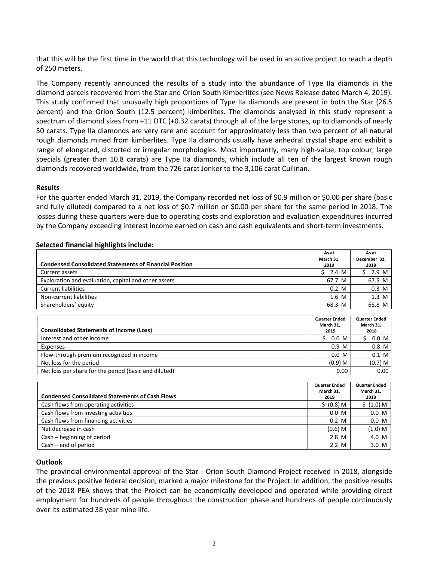that this will be the first time in the world that this technology will be used in an active project to reach a depth of 250 meters.

The Company recently announced the results of a study into the abundance of Type IIa diamonds in the diamond parcels recovered from the Star and Orion South Kimberlites (see News Release dated March 4, 2019). This study confirmed that unusually high proportions of Type IIa diamonds are present in both the Star (26.5 percent) and the Orion South (12.5 percent) kimberlites. The diamonds analysed in this study represent a spectrum of diamond sizes from +11 DTC (+0.32 carats) through all of the large stones, up to diamonds of nearly 50 carats. Type IIa diamonds are very rare and account for approximately less than two percent of all natural rough diamonds mined from kimberlites. Type IIa diamonds usually have anhedral crystal shape and exhibit a range of elongated, distorted or irregular morphologies. Most importantly, many high-value, top colour, large specials (greater than 10.8 carats) are Type IIa diamonds, which include all ten of the largest known rough diamonds recovered worldwide, from the 726 carat Jonker to the 3,106 carat Cullinan.

### **Results**

For the quarter ended March 31, 2019, the Company recorded net loss of \$0.9 million or \$0.00 per share (basic and fully diluted) compared to a net loss of \$0.7 million or \$0.00 per share for the same period in 2018. The losses during these quarters were due to operating costs and exploration and evaluation expenditures incurred by the Company exceeding interest income earned on cash and cash equivalents and short-term investments.

|                                                                | As at<br>March 31.                               | As at<br>December 31.                     |
|----------------------------------------------------------------|--------------------------------------------------|-------------------------------------------|
| <b>Condensed Consolidated Statements of Financial Position</b> | 2019                                             | 2018                                      |
| Current assets                                                 | 2.4 M                                            | 2.9 M                                     |
| Exploration and evaluation, capital and other assets           | 67.7 M                                           | 67.5 M                                    |
| <b>Current liabilities</b>                                     | $0.2 \, M$                                       | $0.3$ M                                   |
| Non-current liabilities                                        | 1.6 M                                            | $1.3 \text{ M}$                           |
| Shareholders' equity                                           | 68.3 M                                           | 68.8 M                                    |
|                                                                |                                                  |                                           |
| Consolidated Statements of Income (Loss)                       | <b>Quarter Ended</b><br>March 31.<br><b>2010</b> | <b>Quarter Ended</b><br>March 31,<br>3010 |

### **Selected financial highlights include:**

| <b>Consolidated Statements of Income (Loss)</b>       | <b>Quarter Ended</b><br>March 31. | <b>Quarter Ended</b><br>March 31. |
|-------------------------------------------------------|-----------------------------------|-----------------------------------|
|                                                       | 2019                              | 2018                              |
| Interest and other income                             | 0.0 M                             | $0.0\,$ M                         |
| Expenses                                              | 0.9 <sub>M</sub>                  | $0.8$ M                           |
| Flow-through premium recognized in income             | $0.0\,$ M                         | $0.1$ M                           |
| Net loss for the period                               | $(0.9)$ M                         | $(0.7)$ M                         |
| Net loss per share for the period (basic and diluted) | 0.00                              | 0.00                              |

| <b>Condensed Consolidated Statements of Cash Flows</b> | <b>Quarter Ended</b><br>March 31.<br>2019 | <b>Quarter Ended</b><br>March 31.<br>2018 |
|--------------------------------------------------------|-------------------------------------------|-------------------------------------------|
| Cash flows from operating activities                   | \$ (0.8) M\$                              | \$ (1.0) M                                |
| Cash flows from investing activities                   | 0.0 M                                     | 0.0 M                                     |
| Cash flows from financing activities                   | $0.2 \,$ M                                | 0.0 M                                     |
| Net decrease in cash                                   | $(0.6)$ M                                 | (1.0) M                                   |
| Cash – beginning of period                             | 2.8 M                                     | 4.0 M                                     |
| $Cash - end of period$                                 | 2.2 M                                     | 3.0 M                                     |

# **Outlook**

The provincial environmental approval of the Star - Orion South Diamond Project received in 2018, alongside the previous positive federal decision, marked a major milestone for the Project. In addition, the positive results of the 2018 PEA shows that the Project can be economically developed and operated while providing direct employment for hundreds of people throughout the construction phase and hundreds of people continuously over its estimated 38 year mine life.